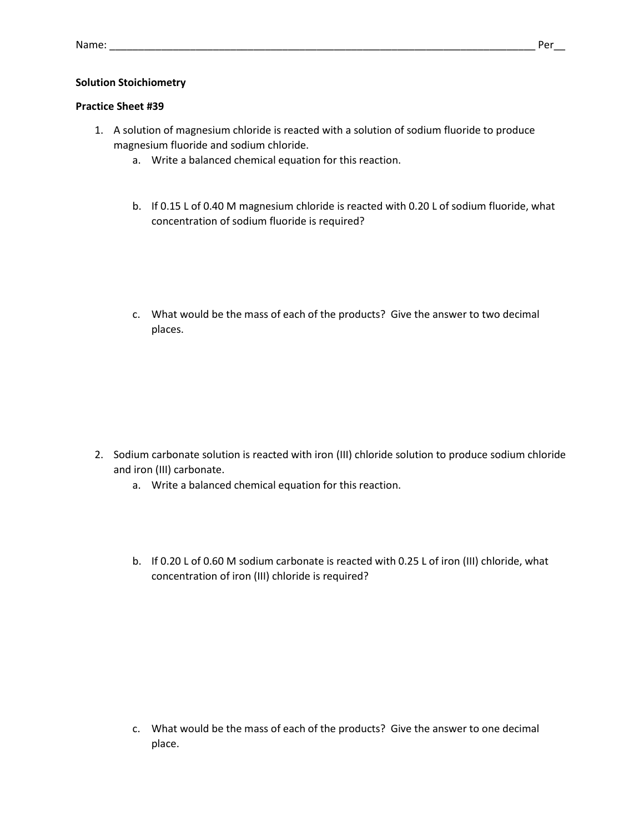## **Solution Stoichiometry**

## **Practice Sheet #39**

- 1. A solution of magnesium chloride is reacted with a solution of sodium fluoride to produce magnesium fluoride and sodium chloride.
	- a. Write a balanced chemical equation for this reaction.
	- b. If 0.15 L of 0.40 M magnesium chloride is reacted with 0.20 L of sodium fluoride, what concentration of sodium fluoride is required?
	- c. What would be the mass of each of the products? Give the answer to two decimal places.

- 2. Sodium carbonate solution is reacted with iron (III) chloride solution to produce sodium chloride and iron (III) carbonate.
	- a. Write a balanced chemical equation for this reaction.
	- b. If 0.20 L of 0.60 M sodium carbonate is reacted with 0.25 L of iron (III) chloride, what concentration of iron (III) chloride is required?

c. What would be the mass of each of the products? Give the answer to one decimal place.